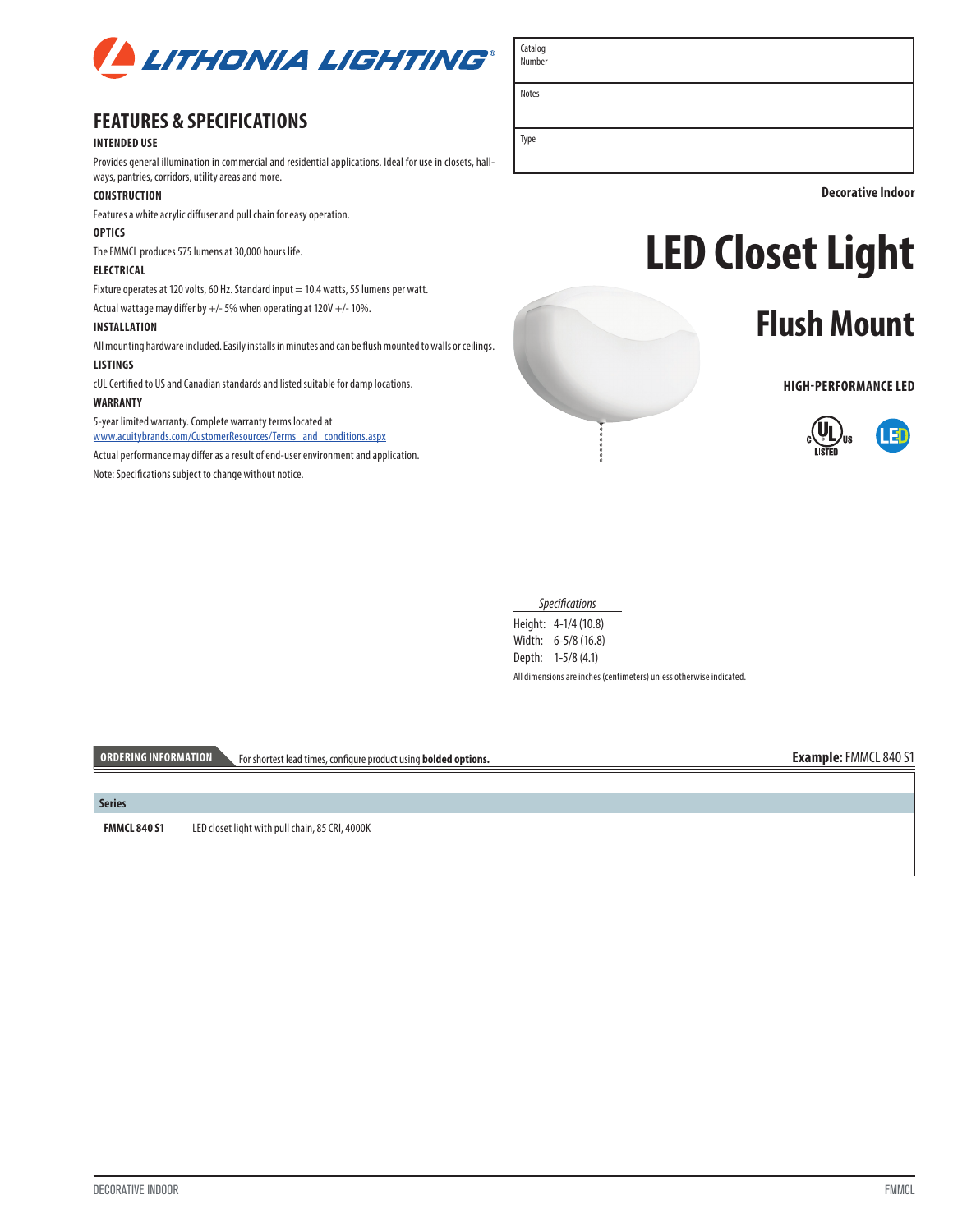

# **FEATURES & SPECIFICATIONS**

### **INTENDED USE**

Provides general illumination in commercial and residential applications. Ideal for use in closets, hallways, pantries, corridors, utility areas and more.

#### **CONSTRUCTION**

Features a white acrylic diffuser and pull chain for easy operation.

## **OPTICS**

The FMMCL produces 575 lumens at 30,000 hours life.

## **ELECTRICAL**

Fixture operates at 120 volts, 60 Hz. Standard input = 10.4 watts, 55 lumens per watt.

Actual wattage may differ by +/- 5% when operating at 120V +/- 10%.

### **INSTALLATION**

All mounting hardware included. Easily installs in minutes and can be flush mounted to walls or ceilings.

# **LISTINGS**

cUL Certified to US and Canadian standards and listed suitable for damp locations.

### **WARRANTY**

5-year limited warranty. Complete warranty terms located at www.acuitybrands.com/CustomerResources/Terms\_and\_conditions.aspx

Actual performance may differ as a result of end-user environment and application.

Note: Specifications subject to change without notice.



**Decorative Indoor**

# **LED Closet Light**

# **Flush Mount**

**HIGH-PERFORMANCE LED**



*Specifications*

Height: 4-1/4 (10.8) Width: 6-5/8 (16.8) Depth: 1-5/8 (4.1) All dimensions are inches (centimeters) unless otherwise indicated.

**ORDERING INFORMATION** For shortest lead times, configure product using **bolded options. Example:** FMMCL 840 S1

**Series**

**FMMCL 840 S1** LED closet light with pull chain, 85 CRI, 4000K